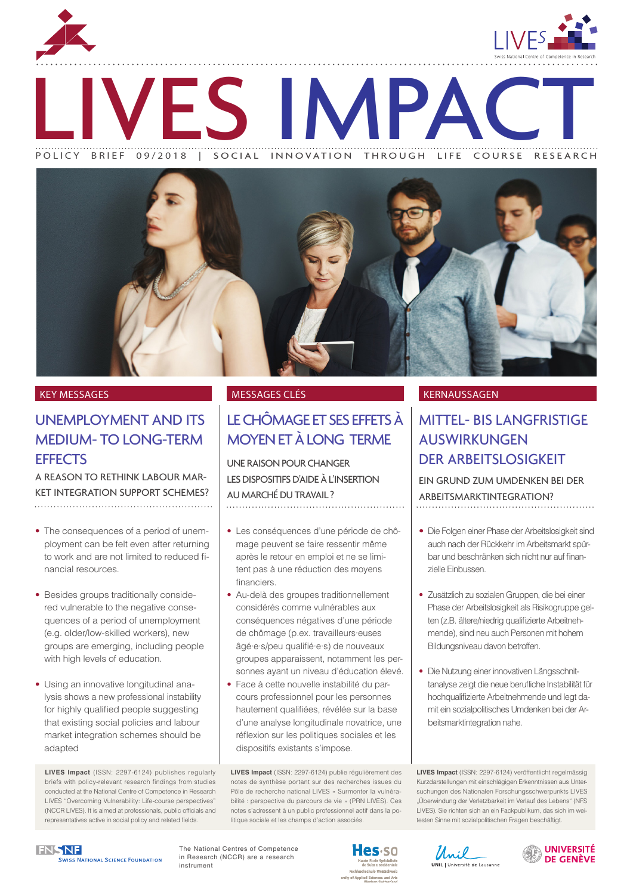

ENTS IMPACT POLICY BRIEF 09/2018 | SOCIAL INNOVATION THROUGH LIFE COURSE RESEARCH



# UNEMPLOYMENT AND ITS MEDIUM- TO LONG-TERM **EFFECTS**

A REASON TO RETHINK LABOUR MAR-KET INTEGRATION SUPPORT SCHEMES? 

- The consequences of a period of unemployment can be felt even after returning to work and are not limited to reduced financial resources.
- Besides groups traditionally considered vulnerable to the negative consequences of a period of unemployment (e.g. older/low-skilled workers), new groups are emerging, including people with high levels of education.
- Using an innovative longitudinal analysis shows a new professional instability for highly qualified people suggesting that existing social policies and labour market integration schemes should be adapted

**LIVES Impact** (ISSN: 2297-6124) publishes regularly briefs with policy-relevant research findings from studies conducted at the National Centre of Competence in Research LIVES "Overcoming Vulnerability: Life-course perspectives" (NCCR LIVES). It is aimed at professionals, public officials and representatives active in social policy and related fields.

# LE CHÔMAGE ET SES EFFETS À MOYEN ET À LONG TERME

UNE RAISON POUR CHANGER LES DISPOSITIFS D'AIDE À L'INSERTION AU MARCHÉ DU TRAVAIL ? 

- Les conséquences d'une période de chômage peuvent se faire ressentir même après le retour en emploi et ne se limitent pas à une réduction des moyens financiers.
- Au-delà des groupes traditionnellement considérés comme vulnérables aux conséquences négatives d'une période de chômage [\(p.ex](http://p.ex). travailleurs·euses âgé·e·s/peu qualifié·e·s) de nouveaux groupes apparaissent, notamment les personnes ayant un niveau d'éducation élevé.
- Face à cette nouvelle instabilité du parcours professionnel pour les personnes hautement qualifiées, révélée sur la base d'une analyse longitudinale novatrice, une réflexion sur les politiques sociales et les dispositifs existants s'impose.

**LIVES Impact** (ISSN: 2297-6124) publie régulièrement des notes de synthèse portant sur des recherches issues du Pôle de recherche national LIVES « Surmonter la vulnérabilité : perspective du parcours de vie » (PRN LIVES). Ces notes s'adressent à un public professionnel actif dans la politique sociale et les champs d'action associés.

### KEY MESSAGES MESSAGES CLÉS KERNAUSSAGEN

## MITTEL- BIS LANGFRISTIGE AUSWIRKUNGEN DER ARBEITSLOSIGKEIT

EIN GRUND ZUM UMDENKEN BEI DER ARBEITSMARKTINTEGRATION?

- Die Folgen einer Phase der Arbeitslosigkeit sind auch nach der Rückkehr im Arbeitsmarkt spürbar und beschränken sich nicht nur auf finanzielle Einbussen.
- Zusätzlich zu sozialen Gruppen, die bei einer Phase der Arbeitslosigkeit als Risikogruppe gelten (z.B. ältere/niedrig qualifizierte Arbeitnehmende), sind neu auch Personen mit hohem Bildungsniveau davon betroffen.
- Die Nutzung einer innovativen Längsschnittanalyse zeigt die neue berufliche Instabilität für hochqualifizierte Arbeitnehmende und legt damit ein sozialpolitisches Umdenken bei der Arbeitsmarktintegration nahe.

**LIVES Impact** (ISSN: 2297-6124) veröffentlicht regelmässig Kurzdarstellungen mit einschlägigen Erkenntnissen aus Untersuchungen des Nationalen Forschungsschwerpunkts LIVES "Überwindung der Verletzbarkeit im Verlauf des Lebens" (NFS LIVES). Sie richten sich an ein Fackpublikum, das sich im weitesten Sinne mit sozialpolitischen Fragen beschäftigt.

**FNSNF** WISS NATIONAL SCIENCE FOUNDATION

The National Centres of Competence in Research (NCCR) are a research instrument